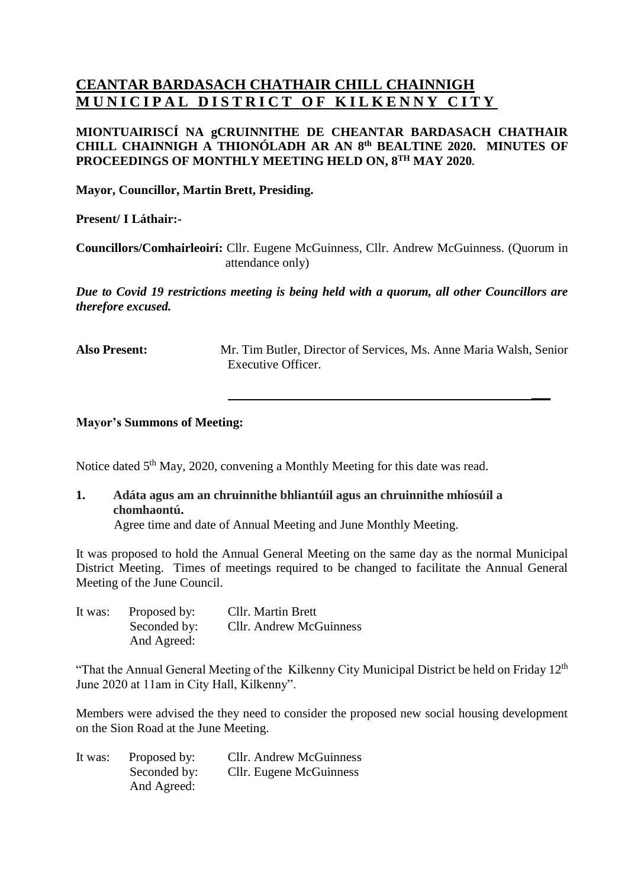## **CEANTAR BARDASACH CHATHAIR CHILL CHAINNIGH MUNICIPAL DISTRICT OF KILKENNY CITY**

## **MIONTUAIRISCÍ NA gCRUINNITHE DE CHEANTAR BARDASACH CHATHAIR CHILL CHAINNIGH A THIONÓLADH AR AN 8 th BEALTINE 2020. MINUTES OF PROCEEDINGS OF MONTHLY MEETING HELD ON, 8 TH MAY 2020.**

**Mayor, Councillor, Martin Brett, Presiding.**

**Present/ I Láthair:-**

**Councillors/Comhairleoirí:** Cllr. Eugene McGuinness, Cllr. Andrew McGuinness. (Quorum in attendance only)

*Due to Covid 19 restrictions meeting is being held with a quorum, all other Councillors are therefore excused.* 

**Also Present:** Mr. Tim Butler, Director of Services, Ms. Anne Maria Walsh, Senior Executive Officer.

**\_\_\_**

**Mayor's Summons of Meeting:**

Notice dated 5<sup>th</sup> May, 2020, convening a Monthly Meeting for this date was read.

**1. Adáta agus am an chruinnithe bhliantúil agus an chruinnithe mhíosúil a chomhaontú.**

Agree time and date of Annual Meeting and June Monthly Meeting.

It was proposed to hold the Annual General Meeting on the same day as the normal Municipal District Meeting. Times of meetings required to be changed to facilitate the Annual General Meeting of the June Council.

| It was: | Proposed by: | <b>Cllr.</b> Martin Brett |
|---------|--------------|---------------------------|
|         | Seconded by: | Cllr. Andrew McGuinness   |
|         | And Agreed:  |                           |

"That the Annual General Meeting of the Kilkenny City Municipal District be held on Friday  $12<sup>th</sup>$ June 2020 at 11am in City Hall, Kilkenny".

Members were advised the they need to consider the proposed new social housing development on the Sion Road at the June Meeting.

| It was: | Proposed by: | <b>Cllr.</b> Andrew McGuinness |
|---------|--------------|--------------------------------|
|         | Seconded by: | Cllr. Eugene McGuinness        |
|         | And Agreed:  |                                |